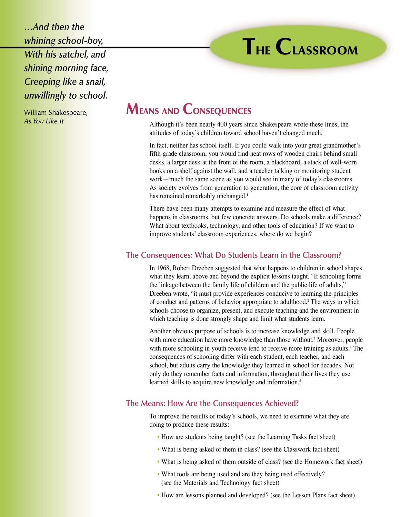*…And then the whining school-boy, With his satchel, and shining morning face, Creeping like a snail, unwillingly to school.*

William Shakespeare, *As You Like It*

# **MEANS AND CONSEQUENCES**

Although it's been nearly 400 years since Shakespeare wrote these lines, the attitudes of today's children toward school haven't changed much.

In fact, neither has school itself. If you could walk into your great grandmother's fifth-grade classroom, you would find neat rows of wooden chairs behind small desks, a larger desk at the front of the room, a blackboard, a stack of well-worn books on a shelf against the wall, and a teacher talking or monitoring student work—much the same scene as you would see in many of today's classrooms. As society evolves from generation to generation, the core of classroom activity has remained remarkably unchanged.<sup>1</sup>

There have been many attempts to examine and measure the effect of what happens in classrooms, but few concrete answers. Do schools make a difference? What about textbooks, technology, and other tools of education? If we want to improve students' classroom experiences, where do we begin?

## **The Consequences: What Do Students Learn in the Classroom?**

In 1968, Robert Dreeben suggested that what happens to children in school shapes what they learn, above and beyond the explicit lessons taught. "If schooling forms the linkage between the family life of children and the public life of adults," Dreeben wrote, "it must provide experiences conducive to learning the principles of conduct and patterns of behavior appropriate to adulthood.2 The ways in which schools choose to organize, present, and execute teaching and the environment in which teaching is done strongly shape and limit what students learn.

Another obvious purpose of schools is to increase knowledge and skill. People with more education have more knowledge than those without.<sup>3</sup> Moreover, people with more schooling in youth receive tend to receive more training as adults.<sup>4</sup> The consequences of schooling differ with each student, each teacher, and each school, but adults carry the knowledge they learned in school for decades. Not only do they remember facts and information, throughout their lives they use learned skills to acquire new knowledge and information.<sup>5</sup>

### **The Means: How Are the Consequences Achieved?**

To improve the results of today's schools, we need to examine what they are doing to produce these results:

- How are students being taught? (see the Learning Tasks fact sheet)
- What is being asked of them in class? (see the Classwork fact sheet)
- What is being asked of them outside of class? (see the Homework fact sheet)
- What tools are being used and are they being used effectively? (see the Materials and Technology fact sheet)
- How are lessons planned and developed? (see the Lesson Plans fact sheet)

# **THE CLASSROOM**